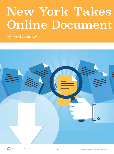## New York Takes Online Document

By Ronald C. Minkoff

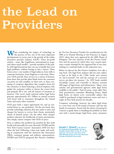## the Lead on Providers

When considering the impact of technology on the practice of law, one of the most important developments in recent years is the growth of the online document provider industry (OLPs). These for-profit entities – some, like LegalZoom, international in scope, and others much smaller – provide members of the public with legal documents they can use to handle their own legal problems, without having to hire a lawyer. These forms cover a vast number of legal subjects, from wills to corporate formation, from litigation to real estate. Moreover, OLPs provide their services in a variety of formats, from those that provide plain blank forms the consumer can print out and complete on their own, to those consisting of computer algorithms that complete forms for the consumer, to those featuring a clerical employee who guides the consumer online to choose the correct form and properly fill it out, and all manner of iterations in between. One recent study reported online legal forms generate approximately \$4.1 billion in annual revenues with forms sold to consumers throughout the United States and many other countries.<sup>1</sup>

OLPs pose both a major opportunity for, and an existential threat to, our profession. On the one hand, they provide technology solutions that may make it easier and cheaper for lawyers to service their clients, particularly clients of limited means. On the other, these cheaper products threaten the livelihoods of many practitioners, who simply cannot compete with OLPs on price.

How to address this problem has puzzled the Bar, both locally and nationally, for years. Recently, NYSBA and the New York County Lawyers' Association (NYCLA) have taken the lead. Following a three-year study, and working in conjunction with the American Bar Association (ABA), consumer groups and industry representatives, NYSBA and NYCLA proposed *Best Practices Guidelines*  *for On-Line Document Providers* for consideration by the ABA at its Annual Meeting in San Francisco in August 2019, where they were approved by the ABA House of Delegates. The very existence of the *Best Practice Guidelines* and the process by which they were created represents a major triumph for the organized Bar of our state, making us a national leader in this important area.

Before we discuss the *Best Practice Guidelines*, let's take a step back. The legal form industry did not start online; at least as far back as the 1700s, books were written on "do-it-yourself" law and the concept of a scrivener service pre-dates the internet.<sup>2</sup> An 1859 book entitled *Everybody's Lawyer and Counsellor in Business* contains 400 pages of legal forms and information.3 Many court systems and governmental agencies make legal forms available to the public. $4$  And of course, many older New York practitioners remember Blumberg Forms, blank legal forms on almost every conceivable subject that could be purchased at legal stationery stores and were a staple of New York practice for decades.

Computer technology, however, has taken legal forms to a new level, out of the hands of lawyers and into the hands of consumers. Faced with the choice of paying for a lawyer to guide them or handling the problem on their own with a much-cheaper legal form, many consumers

**Ronald C. Minkoff is the Chair of the Professional Responsibility Group at Frankfurt Kurnit Klein & Selz, P.C. in New York City. He served as the Chair of the ABA Working Group on On-Line Document Providers described in this article.**

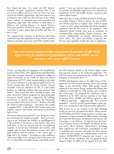have chosen the latter. As a result, the OLP business continues to grow. LegalZoom estimates that it has served four million customers, that its forms may have created one million corporations, and that someone uses its forms to write a will every three minutes in the United States.<sup>5</sup> Indeed, "as computers grow more powerful and ubiquitous, legal work will continue to drift online in different and evolving formats."6 As Arthur Norman Field, past president of NYCLA, put it, "The public has voted that it wants online legal providers and they are here to stay."7

The organized Bar's response to all this has often been confrontational. Bar regulators in Texas, North Carolina, Missouri and other states have sued OLPs (mainly Legalunmet."12 Low cost internet legal providers can present the promise of affordable legal services for underserved populations of low and middle income consumers who cannot afford lawyers.

With all of this in mind, NYSBA and NYCLA held separate public forums in 2016 to discuss the role of OLPs and whether and how to regulate them. NYCLA issued a report in 2017 which concluded that OLPs should be regulated, either by the courts or the legislature. This regulation should include such areas as warranties of merchantability, enforceability, dispute resolution, data security, confidentiality of customer information, and many others. The report nevertheless recognized that because such regulation would take time to implement,

*Low cost internet legal providers can present the promise of affordable legal services for underserved populations of low and middle income consumers who cannot afford lawyers.*

Zoom), accusing them of engaging in the unauthorized practice of law (UPL). This approach has generally failed, with either outright dismissal or settlements calling for minor restrictions on the OLPs. In 2016, the Justice Department and FTC jointly recommended, in the wake of a recent settlement of a suit against LegalZoom by the North Carolina Bar, that the North Carolina General Assembly revise the definition of UPL to avoid undue burdens on "self-help products that may generate legal forms."8 They stated that these self-help products and other interactive software programs for generating legal documents would promote competition by enabling non-lawyers "to provide many services that historically were provided exclusively by lawyers."9 In short, they told the North Carolina legislature – and others who sought to regulate OLPs – to get off the OLPs' backs, and let the industry compete more freely with lawyers in providing legal services.

The Justice Department and FTC were doing more than just embracing free market principles. They were reacting to a very real need: the inability or unwillingness of a vast majority of Americans to hire lawyers when they need them. It has been posited that the overwhelming majority of low-income individuals and families, and roughly half of those of moderate income, face their legal problems without a lawyer.<sup>10</sup> This "justice gap" is huge and is not closing.<sup>11</sup> According to some estimates, "about four-fifths of the civil legal needs of the poor and two- to three-fifths of middle income individuals remain

the OLP industry should in the interim adopt certain best practices similar to the proposed regulations. The NYCLA report was endorsed by the NYSBA House of Delegates in November 2017.13

NYSBA submitted the report to the ABA House of Delegates for the 2018 Annual Meeting. That's when things began to get interesting. Many ABA groups reacted negatively to the report, stating, among other things, that regulation would stifle the OLP industry and exacerbate the "justice gap." The proposal was withdrawn and resubmitted at the ABA mid-year meeting in Las Vegas in January 2019. NYSBA and NYCLA agreed to take a different approach – suggesting only "best practices guidelines" – and the revised proposal began to gain support, even among those who had previously opposed it.

This process led to the creation of the ABA Working Group on On-Line Document Providers, which consisted of NYSBA and NYCLA representatives, as well as representatives of approximately 20 ABA Groups, including the Center for Innovation, the Business Law Section, the Committee on the Delivery of Legal Services, the Intellectual Property Section, the Dispute Resolution Section and many others. Industry representatives, including from LegalZoom and Lexis/Nexis, participated, as well as academics and consumer advocates. For three intense months this past spring, the working group revised the original NYSBA/NYCLA proposal and created a set of 15 *Best Practices Guidelines* that has garnered broad support within the ABA and was approved by the ABA